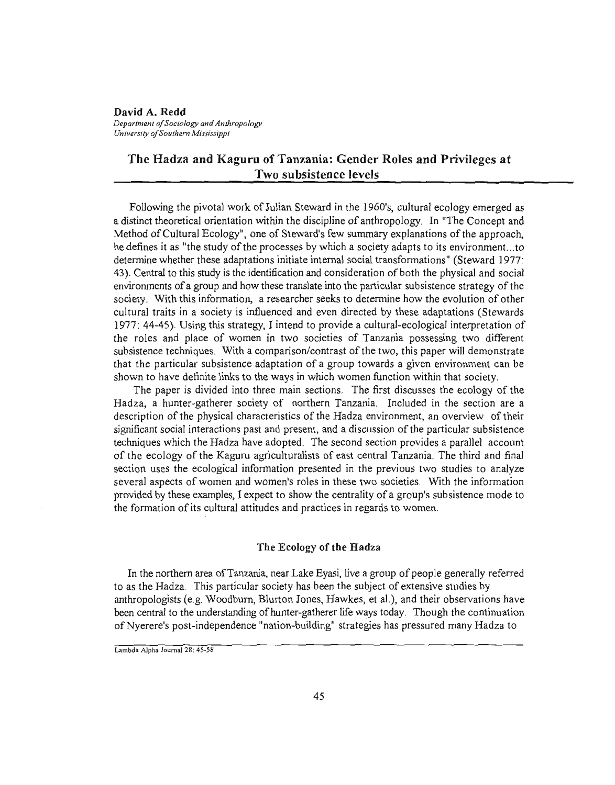David A. Redd *Departmen/ o/Sociology and Anthropology Universiry o/Sou/hem Mississippi*

# The Hadza and Kaguru of Tanzania: Gender Roles and Privileges at Two subsistence levels

Following the pivotal work of Julian Steward in the 1960's, cultural ecology emerged as a distinct theoretical orientation within the discipline of anthropology. In "The Concept and Method of Cultural Ecology", one of Steward's few summary explanations of the approach, he defines it as "the study of the processes by which a society adapts to its environment...to detennine whether these adaptations initiate internal social transfonnations" (Steward 1977: 43). Central to this study is the identification and consideration of both the physical and social environments of a group and how these translate into the particular subsistence strategy of the society. With this information, a researcher seeks to determine how the evolution of other cultural traits in a society is influenced and even directed by these adaptations (Stewards 1977: 44-45). Using this strategy, I intend to provide a cultural-ecological interpretation of the roles and place of women in two societies of Tanzania possessing two different subsistence techniques. With a comparison/contrast of the two, this paper will demonstrate that the particular subsistence adaptation of a group towards a given environment can be shown to have definite links to the ways in which women function within that society.

The paper is divided into three main sections. The first discusses the ecology of the Badza, a hunter-gatherer society of northern Tanzania. Included in the section are a description of the physical characteristics of the Hadza environment, an overview of their significant social interactions past and present, and a discussion of the particular subsistence techniques which the Hadza have adopted. The second section provides a parallel account of the ecology of the Kaguru agriculturalists of east central Tanzania. The third and final section uses the ecological information presented in the previous two studies to analyze several aspects of women and women's roles in these two societies. With the infonnation provided by these examples, I expect to show the centrality of a group's subsistence mode to the fonnation of its cultural attitudes and practices in regards to women.

#### The Ecology of the Badza

In the northern area ofTanzania, near Lake Eyasi, live a group of people generally referred to as the Badza. This particular society has been the subject of extensive studies by anthropologists (e.g. Woodburn, Blurton Jones, Hawkes, et al.), and their observations have been central to the understanding of hunter-gatherer life ways today. Though the continuation ofNyerere's post-independence "nation-building" strategies has pressured many Hadza to

Lambda Alpha Joumal 28: 45-58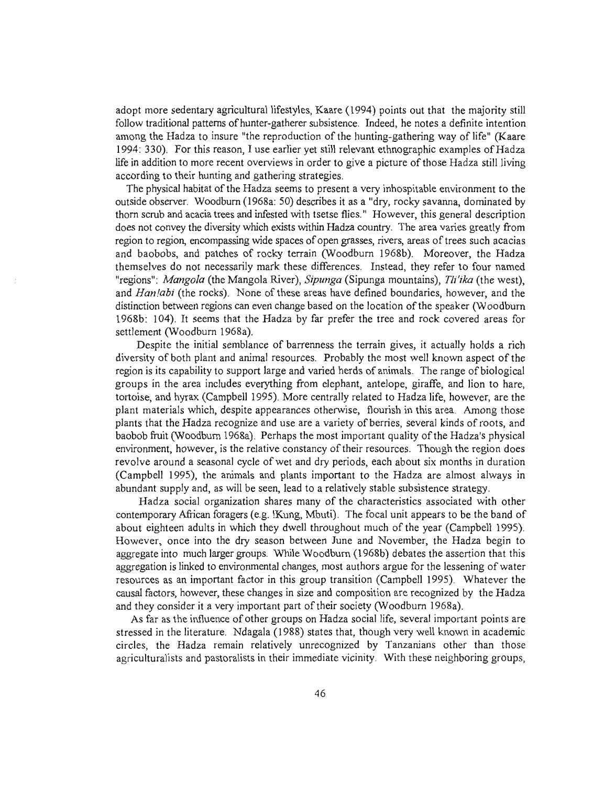adopt more sedentary agricultural lifestyles, Kaare (1994) points out that the majority still follow traditional patterns of hunter-gatherer subsistence. Indeed, he notes a definite intention among the Hadza to insure "the reproduction of the hunting-gathering way of life" (Kaare 1994: 330). For this reason, I use earlier yet still relevant ethnographic examples ofHadza life in addition to more recent overviews in order to give a picture ofthose Hadza still living according to their hunting and gathering strategies.

The physical habitat of the Hadza seems to present a very inhospitable environment to the outside observer. Woodburn (1968a: 50) describes it as a "dry, rocky savanna, dominated by thorn scrub and acacia trees and infested with tsetse flies." However, this general description does not convey the diversity which exists within Badza country. The area varies greatly from region to region, encompassing wide spaces of open grasses, rivers, areas of trees such acacias and baobobs, and patches of rocky terrain (Woodburn 1968b). Moreover, the Hadza themselves do not necessarily mark these differences. Instead, they refer to four named "regions": *Mangola* (the Mangola River), *Sipunga* (Sipunga mountains), *Tii'ika* (the west), and *Han!abi* (the rocks). None of these areas have defined boundaries, however, and the distinction between regions can even change based on the location of the speaker (Woodburn 1968b: 104). It seems that the Hadza by far prefer the tree and rock covered areas for settlement (Woodburn 1968a).

Despite the initial semblance of barrenness the terrain gives, it actually holds a rich diversity of both plant and animal resources. Probably the most well known aspect ofthe region is its capability to support large and varied herds of animals. The range of biological groups in the area includes everything from elephant, antelope, giraffe, and lion to hare, tortoise, and hyrax (Campbell 1995). More centrally related to Hadza life, however, are the plant materials which, despite appearances otherwise, flourish in this area. Among those plants that the Hadza recognize and use are a variety of berries, several kinds of roots, and baobob fruit (Woodburn 1968a). Perhaps the most important quality of the Hadza's physical environment, however, is the relative constancy of their resources. Though the region does revolve around a seasonal cycle of wet and dry periods, each about six months in duration (Campbell 1995), the animals and plants important to the Hadza are almost always in abundant supply and, as will be seen, lead to a relatively stable subsistence strategy.

Hadza social organization shares many of the characteristics associated with other contemporary Afiican foragers (e.g. !Kung, Mbuti). The focal unit appears to be the band of about eighteen adults in which they dwell throughout much of the year (Campbell 1995). However, once into the dry season between June and November, the Hadza begin to aggregate into much larger groups. While Woodburn (1968b) debates the assertion that this aggregation is linked to environmental changes, most authors argue for the lessening of water resources as an important factor in this group transition (Campbell 1995). Whatever the causal factors, however, these changes in size and composition are recognized by the Hadza and they consider it a very important part of their society (Woodburn 1968a).

As far as the influence of other groups on Hadza social life, several important points are stressed in the literature. Ndagala (1988) states that, though very well known in academic circles, the Hadza remain relatively unrecognized by Tanzanians other than those agriculturalists and pastoralists in their immediate vicinity. With these neighboring groups,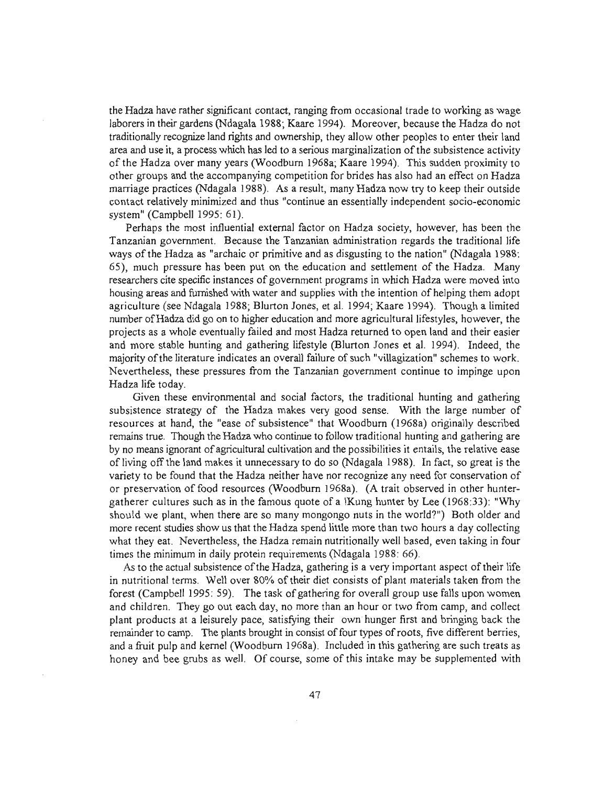the Hadza have rather significant contact, ranging from occasional trade to working as wage laborers in their gardens (Ndagala 1988; Kaare 1994). Moreover, because the Hadza do not traditionally recognize land rights and ownership, they allow other peoples to enter their land area and use it, a process which has led to a serious marginalization ofthe subsistence activity of the Hadza over many years (Woodburn 1968a; Kaare 1994). This sudden proximity to other groups and the accompanying competition for brides has also had an effect on Hadza marriage practices (Ndagala 1988). As a result, many Hadza now try to keep their outside contact relatively minimized and thus "continue an essentially independent socio-economic system" (Campbell 1995: 61).

Perhaps the most influential external factor on Hadza society, however, has been the Tanzanian government. Because the Tanzanian administration regards the traditional life ways of the Hadza as "archaic or primitive and as disgusting to the nation" (Ndagala 1988: 65), much pressure has been put on the education and settlement of the Hadza. Many researchers cite specific instances of government programs in which Hadza were moved into housing areas and furnished with water and supplies with the intention of helping them adopt agriculture (see Ndagala 1988; Blurton Jones, et al. 1994; Kaare 1994). Though a limited number ofHadza did go on to higher education and more agricultural lifestyles, however, the projects as a whole eventually failed and most Hadza returned to open land and their easier and more stable hunting and gathering lifestyle (Blurton Jones et al. 1994). Indeed, the majority of the literature indicates an overall failure of such "villagization" schemes to work. Nevertheless, these pressures from the Tanzanian government continue to impinge upon Hadza life today.

Given these environmental and social factors, the traditional hunting and gathering subsistence strategy of the Hadza makes very good sense. With the large number of resources at hand, the "ease of subsistence" that Woodburn (1968a) originally described remains true. Though the Hadza who continue to follow traditional hunting and gathering are by no means ignorant of agricultural cultivation and the possibilities it entails, the relative ease of living off the land makes it unnecessary to do so (Ndagala 1988). In fact, so great is the variety to be found that the Hadza neither have nor recognize any need for conservation of or preservation of food resources (Woodburn 1968a). (A trait observed in other huntergatherer cultures such as in the famous quote of a IKung hunter by Lee (1968:33): "Why should we plant, when there are so many mongongo nuts in the world?") Both older and more recent studies show us that the Hadza spend little more than two hours a day collecting what they eat. Nevertheless, the Hadza remain nutritionally well based, even taking in four times the minimum in daily protein requirements (Ndagala 1988: 66).

As to the actual subsistence of the Hadza, gathering is a very important aspect of their life in nutritional terms. Well over 80% of their diet consists of plant materials taken from the forest (Campbell 1995: 59). The task of gathering for overall group use falls upon women and children. They go out each day, no more than an hour or two from camp, and collect plant products at a leisurely pace, satisfying their own hunger first and bringing back the remainder to camp. The plants brought in consist of four types of roots, five different berries, and a fruit pulp and kernel (Woodburn 1968a). Included in this gathering are such treats as honey and bee grubs as well. Of course, some of this intake may be supplemented with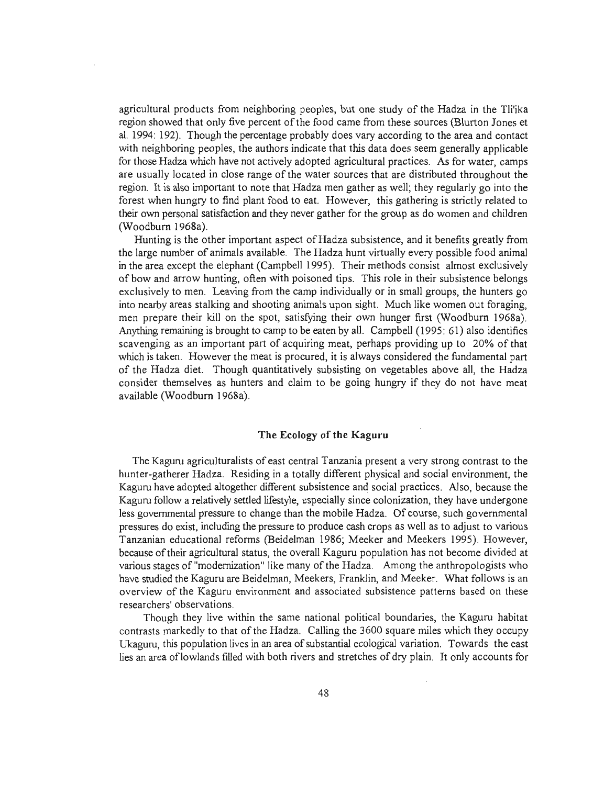agricultural products from neighboring peoples, but one study of the Hadza in the Tli'ika region showed that only five percent of the food came from these sources (Blurton Jones et al. 1994: 192). Though the percentage probably does vary according to the area and contact with neighboring peoples, the authors indicate that this data does seem generally applicable for those Hadza which have not actively adopted agricultural practices. As for water, camps are usually located in close range of the water sources that are distributed throughout the region. It is also important to note that Hadza men gather as well; they regularly go into the forest when hungry to find plant food to eat. However, this gathering is strictly related to their own personal satisfaction and they never gather for the group as do women and children (Woodburn 1968a).

Hunting is the other important aspect of Hadza subsistence, and it benefits greatly from the large number of animals available. The Hadza hunt virtually every possible food animal in the area except the elephant (Campbell 1995). Their methods consist almost exclusively of bow and arrow hunting, often with poisoned tips. This role in their subsistence belongs exclusively to men. Leaving from the camp individually or in small groups, the hunters go into nearby areas stalking and shooting animals upon sight. Much like women out foraging, men prepare their kill on the spot, satisfying their own hunger first (Woodburn 1968a). Anything remaining is brought to camp to be eaten by all. Campbell (1995: 61) also identifies scavenging as an important part of acquiring meat, perhaps providing up to 20% of that which is taken. However the meat is procured, it is always considered the fundamental part of the Hadza diet. Though quantitatively subsisting on vegetables above all, the Hadza consider themselves as hunters and claim to be going hungry if they do not have meat available (Woodburn 1968a).

### **The Ecology of the Kaguru**

The Kaguru agriculturalists of east central Tanzania present a very strong contrast to the hunter-gatherer Hadza. Residing in a totally different physical and social environment, the Kaguru have adopted altogether different subsistence and social practices. *Also,* because the Kaguru follow a relatively settled lifestyle, especially since colonization, they have undergone less governmental pressure to change than the mobile Hadza. Of course, such governmental pressures do exist, including the pressure to produce cash crops as well as to adjust to various Tanzanian educational reforms (Beidelman 1986; Meeker and Meekers 1995). However, because oftheir agricultural status, the overall Kaguru population has not become divided at various stages of "modernization" like many of the Hadza. Among the anthropologists who have studied the Kaguru are Beidelman, Meekers, Franklin, and Meeker. What follows is an overview of the Kaguru environment and associated subsistence patterns based on these researchers' observations.

Though they live within the same national political boundaries, the Kaguru habitat contrasts markedly to that of the Hadza. Calling the 3600 square miles which they occupy Ukaguru, this population lives in an area of substantial ecological variation. Towards the east lies an area oflowlands filled with both rivers and stretches of dry plain. It only accounts for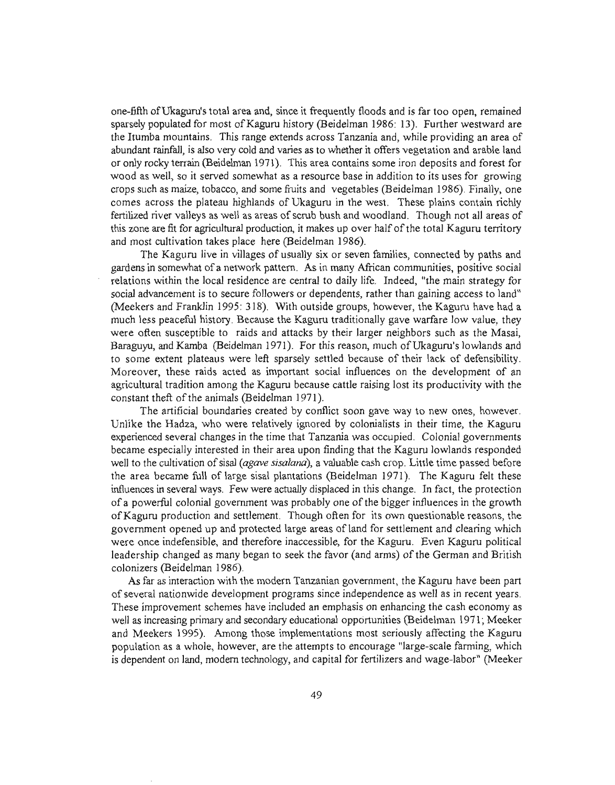one-fifth ofUkaguru's total area and, since it frequently floods and is far too open, remained sparsely populated for most of Kaguru history (Beidelman 1986: 13). Further westward are the Itumba mountains. This range extends across Tanzania and, while providing an area of abundant rainfalJ, is also very cold and varies as to whether it offers vegetation and arable land or only rocky terrain (Beidelman 1971). This area contains some iron deposits and forest for wood as well, so it served somewhat as a resource base in addition to its uses for growing crops such as maize, tobacco, and some fiuits and vegetables (Beidelman 1986). Finally, one comes across the plateau highlands of Ukaguru in the west. These plains contain richly fertilized river valleys as well as areas of scrub bush and woodland. Though not all areas of this zone are fit for agricultural production, it makes up over half ofthe total Kaguru territory and most cultivation takes place here (Beidelman 1986).

The Kaguru live in villages of usually six or seven families, connected by paths and gardens in somewhat of a network pattern. As in many African communities, positive social relations within the local residence are central to daily life. Indeed, "the main strategy for social advancement is to secure followers or dependents, rather than gaining access to land" (Meekers and Franklin 1995: 318). With outside groups, however, the Kaguru have had a much less peaceful history. Because the Kaguru traditionally gave warfare low value, they were often susceptible to raids and attacks by their larger neighbors such as the Masai, Baraguyu, and Kamba (Beidelman 1971). For this reason, much of Ukaguru's lowlands and to some extent plateaus were left sparsely settled because of their lack of defensibility. Moreover, these raids acted as important social influences on the development of an agricultural tradition among the Kaguru because cattle raising lost its productivity with the constant theft of the animals (Beidelman 1971).

The artificial boundaries created by conflict soon gave way to new ones, however. Unlike the Hadza, who were relatively ignored by colonialists in their time, the Kaguru experienced several changes in the time that Tanzania was occupied. Colonial governments became especially interested in their area upon finding that the Kaguru lowlands responded well to the cultivation ofsisal *(agave sisalana),* a valuable cash crop. Little time passed before the area became full of large sisal plantations (Beidelman 1971). The Kaguru felt these influences in several ways. Few were actually displaced in this change. In fact, the protection of a powerful colonial government was probably one ofthe bigger influences in the growth ofKaguru production and settlement. Though often for its own questionable reasons, the government opened up and protected large areas of land for settlement and clearing which were once indefensible, and therefore inaccessible, for the Kaguru. Even Kaguru political leadership changed as many began to seek the favor (and arms) of the German and British colonizers (Beidelman 1986).

As far as interaction with the modern Tanzanian government, the Kaguru have been part of several nationwide development programs since independence as well as in recent years. These improvement schemes have included an emphasis on enhancing the cash economy as well as increasing primary and secondary educational opportunities (Beidelman 1971; Meeker and Meekers 1995). Among those implementations most seriously affecting the Kaguru population as a whole, however, are the attempts to encourage "large-scale farming, which is dependent on land, modem technology, and capital for fertilizers and wage-labor" (Meeker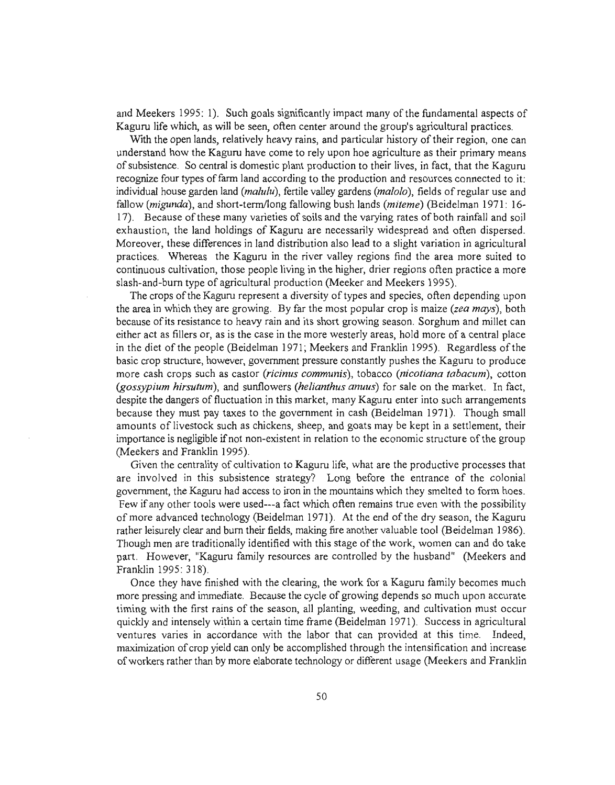and Meekers 1995: 1). Such goals significantly impact many ofthe fundamental aspects of Kaguru life which, as will be seen, often center around the group's agricultural practices.

With the open lands, relatively heavy rains, and particular history of their region, one can understand how the Kaguru have come to rely upon hoe agriculture as their primary means ofsubsistence. So central is domestic plant production to their lives, in fact, that the Kaguru recognize four types offarm land according to the production and resources connected to it: individual house garden land *(malulu),* fertile valley gardens *(malolo),* fields of regular use and fallow *(migunda),* and short-term/long fallowing bush lands *(miteme)* (Beidelman 1971: 16- 17). Because of these many varieties of soils and the varying rates of both rainfall and soil exhaustion, the land holdings of Kaguru are necessarily widespread and often dispersed. Moreover, these differences in land distribution also lead to a slight variation in agricultural practices. Whereas the Kaguru in the river valley regions find the area more suited to continuous cultivation, those people living in the higher, drier regions often practice a more slash-and-burn type of agricultural production (Meeker and Meekers 1995).

The crops of the Kaguru represent a diversity of types and species, often depending upon the area in which they are growing. By far the most popular crop is maize *(zea mays),* both because ofits resistance to heavy rain and its short growing season. Sorghum and millet can either act as fillers or, as is the case in the more westerly areas, hold more of a central place in the diet of the people (Beidelman 1971; Meekers and Franklin 1995). Regardless of the basic crop structure, however, government pressure constantly pushes the Kaguru to produce more cash crops such as castor *(ricinus communis),* tobacco *(nicotiana tabacum),* cotton *(gossypium hirsutum),* and sunflowers *(helianthus anuus)* for sale on the market. In fact, despite the dangers of fluctuation in this market, many Kaguru enter into such arrangements because they must pay taxes to the government in cash (Beidelman 1971). Though small amounts of livestock such as chickens, sheep, and goats may be kept in a settlement, their importance is negligible ifnot non-existent in relation to the economic structure ofthe group (Meekers and Franklin 1995).

Given the centrality of cultivation to Kaguru life, what are the productive processes that are involved in this subsistence strategy? Long before the entrance of the colonial government, the Kaguru had access to iron in the mountains which they smelted to form hoes. Few if any other tools were used---a fact which often remains true even with the possibility of more advanced technology (Beidelman 1971). At the end ofthe dry season, the Kaguru rather leisurely clear and bum their fields, making fire another valuable tool (Beidelman 1986). Though men are traditionally identified with this stage ofthe work, women can and do take part. However, "Kaguru family resources are controlled by the husband" (Meekers and Franklin 1995: 318).

Once they have finished with the clearing, the work for a Kaguru family becomes much more pressing and immediate. Because the cycle of growing depends so much upon accurate timing with the first rains of the season, all planting, weeding, and cultivation must occur quickly and intensely within a certain time frame (Beidelman 1971). Success in agricultural ventures varies in accordance with the labor that can provided at this time. Indeed, maximization of crop yield can only be accomplished through the intensification and increase ofworkers rather than by more elaborate technology or different usage (Meekers and Franklin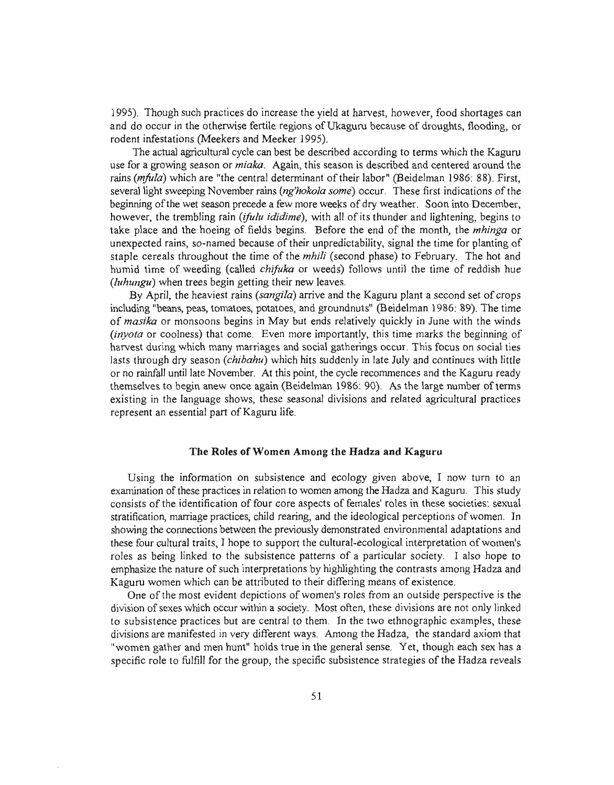1995). Though such practices do increase the yield at harvest, however, food shortages can and do occur in the otherwise fertile regions of Ukaguru because of droughts, flooding, or rodent infestations (Meekers and Meeker 1995).

The actual agricultural cycle can best be described according to terms which the Kaguru use for a growing season or *miaka.* Again, this season is described and centered around the rains *(mfula)* which are "the central determinant of their labor" (Beidelman 1986: 88). First, several light sweeping November rains *(ng'hokola some)* occur. These first indications ofthe beginning ofthe wet season precede a few more weeks of dry weather. Soon into December, however, the trembling rain *(ifulu ididime)*, with all of its thunder and lightening, begins to take place and the hoeing of fields begins. Before the end of the month, the *mhinga* or unexpected rains, so-named because oftheir unpredictability, signal the time for planting of staple cereals throughout the time of the *mhili* (second phase) to February. The hot and humid time of weeding (called *chifuka* or weeds) follows until the time of reddish hue *(luhungu)* when trees begin getting their new leaves.

By April, the heaviest rains *(sangila)* arrive and the Kaguru plant a second set of crops including "beans, peas, tomatoes, potatoes, and groundnuts" (Beidelman 1986: 89). The time of *masika* or monsoons begins in May but ends relatively quickly in June with the winds *(inyota* or coolness) that come. Even more importantly, this time marks the beginning of harvest during which many marriages and social gatherings occur. This focus on social ties lasts through dry season *(chibahu)* which hits suddenly in late July and continues with little or no rainfall until late November. At this point, the cycle recommences and the Kaguru ready themselves to begin anew once again (Beidelman 1986: 90). As the large number of terms existing in the language shows, these seasonal divisions and related agricultural practices represent an essential part of Kaguru life.

### **The Roles** ofWomen **Among the Badza and Kaguru**

Using the information on subsistence and ecology given above, I now turn to an examination ofthese practices in relation to women among the Badza and Kaguru. This study consists of the identification of four core aspects of females' roles in these societies: sexual stratification, marriage practices, child rearing, and the ideological perceptions of women. In showing the connections between the previously demonstrated environmental adaptations and these four cultural traits, I hope to support the cultural-ecological interpretation ofwomen's roles as being linked to the subsistence patterns of a particular society. I also hope to emphasize the nature of such interpretations by highlighting the contrasts among Hadza and Kaguru women which can be attributed to their differing means of existence.

One of the most evident depictions of women's roles from an outside perspective is the division ofsexes which occur within a society. Most often, these divisions are not only linked to subsistence practices but are central to them. In the two ethnographic examples, these divisions are manifested in very different ways. Among the Badza, the standard axiom that "women gather and men hunt" holds true in the general sense. Yet, though each sex has a specific role to fulfil1 for the group, the specific subsistence strategies of the Hadza reveals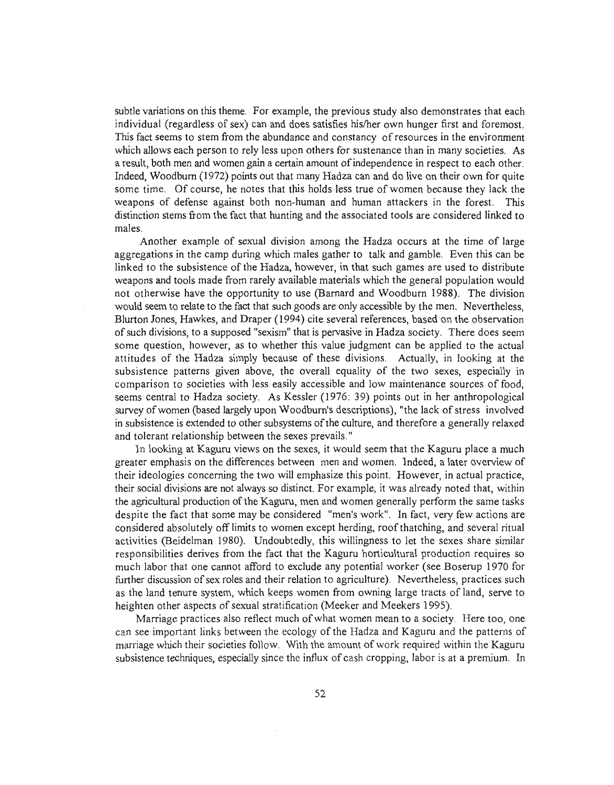subtle variations on this theme. For example, the previous study also demonstrates that each individual (regardless of sex) can and does satisfies his/her own hunger first and foremost. This fact seems to stem from the abundance and constancy of resources in the environment which allows each person to rely less upon others for sustenance than in many societies. As a result, both men and women gain a certain amount ofindependence in respect to each other. Indeed, Woodburn (1972) points out that many Hadza can and do live on their own for quite some time. Of course, he notes that this holds less true of women because they lack the weapons of defense against both non-human and human attackers in the forest. This distinction stems from the fact that hunting and the associated tools are considered linked to males.

Another example of sexual division among the Hadza occurs at the time of large aggregations in the camp during which males gather to talk and gamble. Even this can be linked to the subsistence of the Hadza, however, in that such games are used to distribute weapons and tools made from rarely available materials which the general population would not otherwise have the opportunity to use (Barnard and Woodburn 1988). The division would seem to relate to the fact that such goods are only accessible by the men. Nevertheless, Blurton Jones, Hawkes, and Draper (1994) cite several references, based on the observation ofsuch divisions, to a supposed "sexism" that is pervasive in Hadza society. There does seem some question, however, as to whether this value judgment can be applied to the actual attitudes of the Hadza simply because of these divisions. Actually, in looking at the subsistence patterns given above, the overall equality of the two sexes, especially in comparison to societies with less easily accessible and low maintenance sources of food, seems central to Hadza society. As Kessler (1976: 39) points out in her anthropological survey of women (based largely upon Woodburn's descriptions), "the lack of stress involved in subsistence is extended to other subsystems ofthe culture, and therefore a generally relaxed and tolerant relationship between the sexes prevails."

In looking at Kaguru views on the sexes, it would seem that the Kaguru place a much greater emphasis on the differences between men and women. Indeed, a later overview of their ideologies concerning the two will emphasize this point. However, in actual practice, their social divisions are not always so distinct. For example, it was already noted that, within the agricultural production ofthe Kaguru, men and women generally perform the same tasks despite the fact that some may be considered "men's work". In fact, very few actions are considered absolutely off limits to women except herding, roofthatching, and several ritual activities (Beidelman 1980). Undoubtedly, this willingness to let the sexes share similar responsibilities derives from the fact that the Kaguru horticultural production requires so much labor that one cannot afford to exclude any potential worker (see Boserup 1970 for further discussion of sex roles and their relation to agriculture). Nevertheless, practices such as the land tenure system, which keeps women from owning large tracts of land, serve to heighten other aspects of sexual stratification (Meeker and Meekers 1995).

Marriage practices also reflect much ofwhat women mean to a society. Here too, one can see important links between the ecology of the Hadza and Kaguru and the patterns of marriage which their societies follow. With the amount of work required within the Kaguru subsistence techniques, especially since the influx of cash cropping, labor is at a premium. In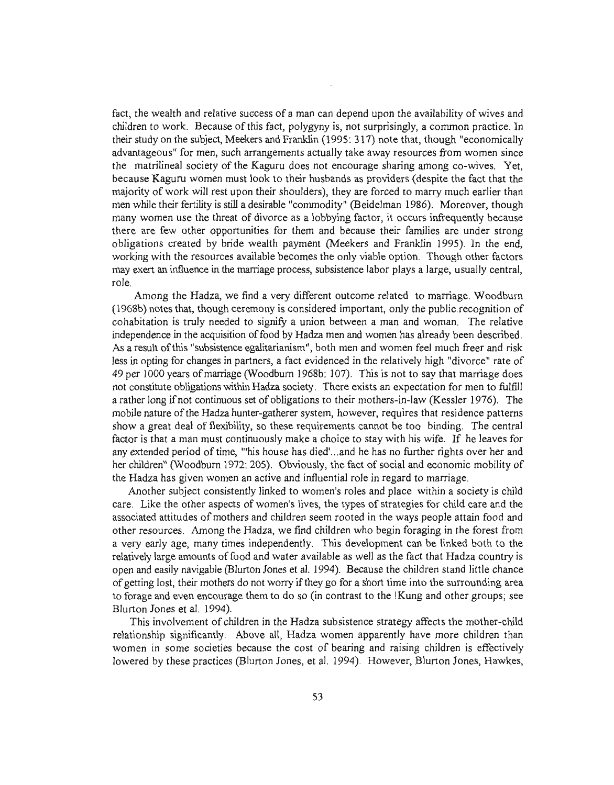fact, the wealth and relative success of a man can depend upon the availability of wives and children to work. Because ofthis fact, polygyny is, not surprisingly, a common practice. In their study on the subject, Meekers and Franklin (1995: 317) note that, though "economically advantageous" for men, such arrangements actually take away resources from women since the matrilineal society of the Kaguru does not encourage sharing among co-wives. Yet, because Kaguru women must look to their husbands as providers (despite the fact that the majority of work will rest upon their shoulders), they are forced to marry much earlier than men while their fertility is still a desirable "commodity" (Beidelman 1986). Moreover, though many women use the threat of divorce as a lobbying factor, it occurs infrequently because there are few other opportunities for them and because their families are under strong obligations created by bride wealth payment (Meekers and Franklin 1995). In the end, working with the resources available becomes the only viable option. Though other factors may exert an influence in the maniage process, subsistence labor plays a large, usually central, role..

Among the Hadza, we find a very different outcome related to marriage. Woodburn (1968b) notes that, though ceremony is considered important, only the public recognition of cohabitation is truly needed to signify a union between a man and woman. The relative independence in the acquisition offood by Hadza men and women has already been described. As a result ofthis "subsistence egalitarianism", both men and women feel much freer and risk less in opting for changes in partners, a fact evidenced in the relatively high "divorce" rate of 49 per 1000 years ofmaniage (Woodburn 1968b: 107). This is not to say that marriage does not constitute obligations within Hadza society. There exists an expectation for men to fulfill a rather long if not continuous set of obligations to their mothers-in-law (Kessler 1976). The mobile nature of the Hadza hunter-gatherer system, however, requires that residence patterns show a great deal of flexibility, so these requirements cannot be too binding. The central factor is that a man must continuously make a choice to stay with his wife. If he leaves for any extended period of time, '''his house has died'...and he has no further rights over her and her children" (Woodburn 1972: 205). Obviously, the fact of social and economic mobility of the Hadza has given women an active and influential role in regard to marriage.

Another subject consistently linked to women's roles and place within a society is child care. Like the other aspects of women's lives, the types of strategies for child care and the associated attitudes of mothers and children seem rooted in the ways people attain food and other resources. Among the Hadza, we find children who begin foraging in the forest from a very early age, many times independently. This development can be linked both to the relatively large amounts offood and water available as well as the fact that Hadza country is open and easily navigable (Blurton Jones et aI. 1994). Because the children stand little chance of getting lost, their mothers do not worry ifthey go for a short time into the surrounding area to forage and even encourage them to do so (in contrast to the !Kung and other groups; see Blurton Jones et al. 1994).

This involvement of children in the Hadza subsistence strategy affects the mother-child relationship significantly. Above all, Hadza women apparently have more children than women in some societies because the cost of bearing and raising children is effectively lowered by these practices (Blurton Jones, et al. 1994). However, Blurton Jones, Hawkes,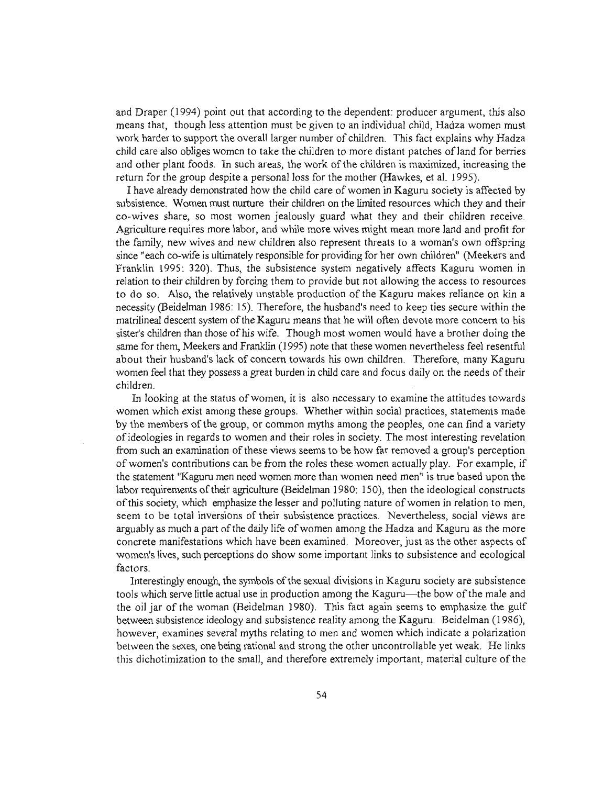and Draper (1994) point out that according to the dependent: producer argument, this also means that, though less attention must be given to an individual child, Hadza women must work harder to support the overall larger number of children. This fact explains why Hadza child care also obliges women to take the children to more distant patches ofland for berries and other plant foods. In such areas, the work of the children is maximized, increasing the return for the group despite a personal loss for the mother (Hawkes, et al. 1995).

I have already demonstrated how the child care ofwomen in Kaguru society is affected by subsistence. Women must nurture their children on the limited resources which they and their co-wives share, so most women jealously guard what they and their children receive. Agriculture requires more labor, and while more wives might mean more land and profit for the family, new wives and new children also represent threats to a woman's own offspring since "each co-wife is ultimately responsible for providing for her own children" (Meekers and Franklin 1995: 320). Thus, the subsistence system negatively affects Kaguru women in relation to their children by forcing them to provide but not allowing the access to resources to do so. *Also,* the relatively unstable production of the Kaguru makes reliance on kin a necessity (Beidelman 1986: 15). Therefore, the husband's need to keep ties secure within the matrilineal descent system of the Kaguru means that he will often devote more concern to his sister's children than those of his wife. Though most women would have a brother doing the same for them, Meekers and Franklin (1995) note that these women nevertheless feel resentful about their husband's lack of concern towards his own children. Therefore, many Kaguru women feel that they possess a great burden in child care and focus daily on the needs oftheir children.

In looking at the status ofwomen, it is also necessary to examine the attitudes towards women which exist among these groups. Whether within social practices, statements made by the members of the group, or common myths among the peoples, one can find a variety ofideologies in regards to women and their roles in society. The most interesting revelation from such an examination of these views seems to be how far removed a group's perception of women's contributions can be from the roles these women actually play. For example, if the statement "Kaguru men need women more than women need men" is true based upon the labor requirements of their agriculture (Beidelman 1980: 150), then the ideological constructs ofthis society, which emphasize the lesser and polluting nature ofwomen in relation to men, seem to be total inversions of their subsistence practices. Nevertheless, social views are arguably as much a part of the daily life of women among the Hadza and Kaguru as the more concrete manifestations which have been examined. Moreover, just as the other aspects of women's lives, such perceptions do show some important links to subsistence and ecological factors.

Interestingly enough, the symbols of the sexual divisions in Kaguru society are subsistence tools which serve little actual use in production among the Kaguru-the bow ofthe male and the oil jar of the woman (Beidelman 1980). This fact again seems to emphasize the gulf between subsistence ideology and subsistence reality among the Kaguru. Beidelman (1986), however, examines several myths relating to men and women which indicate a polarization between the sexes, one being rational and strong the other uncontrollable yet weak. He links this dichotimization to the small, and therefore extremely important, material culture ofthe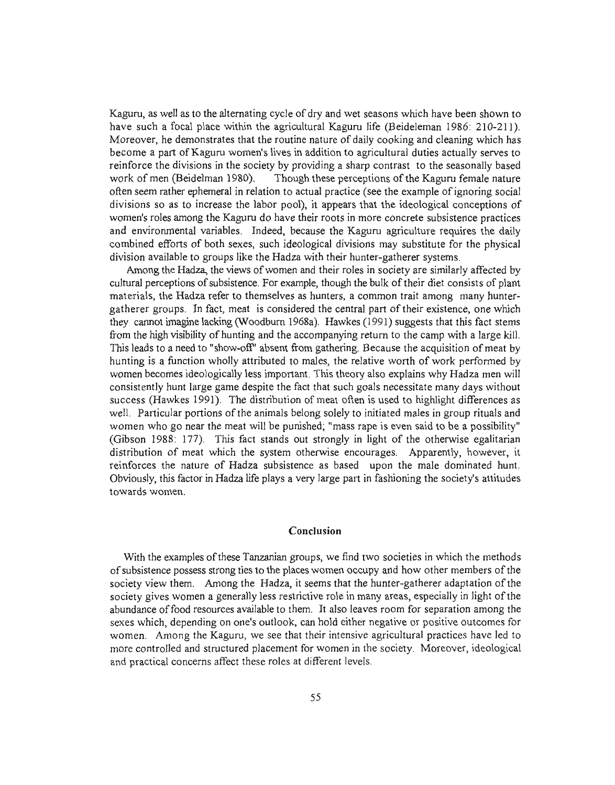Kaguru, as well as to the alternating cycle of dry and wet seasons which have been shown to have such a focal place within the agricultural Kaguru life (Beideleman 1986: 210-211). Moreover, he demonstrates that the routine nature of daily cooking and cleaning which has become a part ofKaguru women's lives in addition to agricultural duties actually serves to reinforce the divisions in the society by providing a sharp contrast to the seasonally based work of men (Beidelman 1980). Though these perceptions of the Kaguru female nature often seem rather ephemeral in relation to actual practice (see the example of ignoring social divisions so as to increase the labor pool), it appears that the ideological conceptions of women's roles among the Kaguru do have their roots in more concrete subsistence practices and environmental variables. Indeed, because the Kaguru agriculture requires the daily combined efforts of both sexes, such ideological divisions may substitute for the physical division available to groups like the Hadza with their hunter-gatherer systems.

Among the Hadza, the views of women and their roles in society are similarly affected by cultural perceptions of subsistence. For example, though the bulk of their diet consists of plant materials, the Hadza refer to themselves as hunters, a common trait among many huntergatherer groups. In fact, meat is considered the central part oftheir existence, one which they cannot imagine lacking (Woodburn 1968a). Hawkes (1991) suggests that this fact stems from the high visibility of hunting and the accompanying return to the camp with a large kill. This leads to a need to "show-off' absent from gathering. Because the acquisition of meat by hunting is a function wholly attributed to males, the relative worth of work performed by women becomes ideologically less important. This theory also explains why Hadza men will consistently hunt large game despite the fact that such goals necessitate many days without success (Hawkes 1991). The distribution of meat often is used to highlight differences as well. Particular portions of the animals belong solely to initiated males in group rituals and women who go near the meat will be punished; "mass rape is even said to be a possibility" (Gibson 1988: 177). This fact stands out strongly in light of the otherwise egalitarian distribution of meat which the system otherwise encourages. Apparently, however, it reinforces the nature of Hadza subsistence as based upon the male dominated hunt. Obviously, this factor in Hadza life plays a very large part in fashioning the society's attitudes towards women.

### Conclusion

With the examples of these Tanzanian groups, we find two societies in which the methods ofsubsistence possess strong ties to the places women occupy and how other members ofthe society view them. Among the Hadza, it seems that the hunter-gatherer adaptation of the society gives women a generally less restrictive role in many areas, especially in light of the abundance offood resources available to them. It also leaves room for separation among the sexes which, depending on one's outlook, can hold either negative or positive outcomes for women. Among the Kaguru, we see that their intensive agricultural practices have led to more controlled and structured placement for women in the society. Moreover, ideological and practical concerns affect these roles at different levels.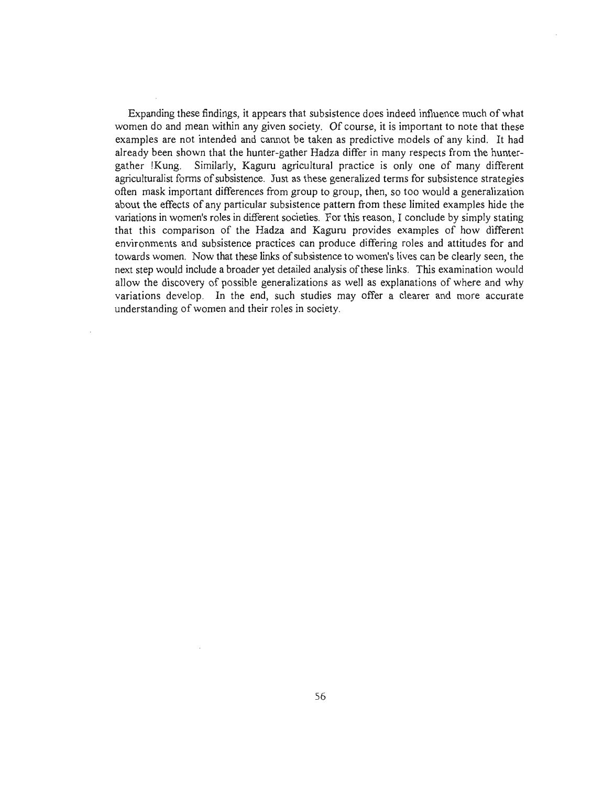Expanding these findings, it appears that subsistence does indeed influence much of what women do and mean within any given society. Of course, it is important to note that these examples are not intended and cannot be taken as predictive models of any kind. It had already been shown that the hunter-gather Hadza differ in many respects from the huntergather !Kung. Similarly, Kaguru agricultural practice is only one of many different agriculturalist forms of subsistence. Just as these generalized terms for subsistence strategies often mask important differences from group to group, then, so too would a generalization about the effects of any particular subsistence pattern from these limited examples hide the variations in women's roles in different societies. For this reason, I conclude by simply stating that this comparison of the Hadza and Kaguru provides examples of how different environments and subsistence practices can produce differing roles and attitudes for and towards women. Now that these links of subsistence to women's lives can be clearly seen, the next step would include a broader yet detailed analysis ofthese links. This examination would allow the discovery of possible generalizations as well as explanations of where and why variations develop. In the end, such studies may offer a clearer and more accurate understanding of women and their roles in society.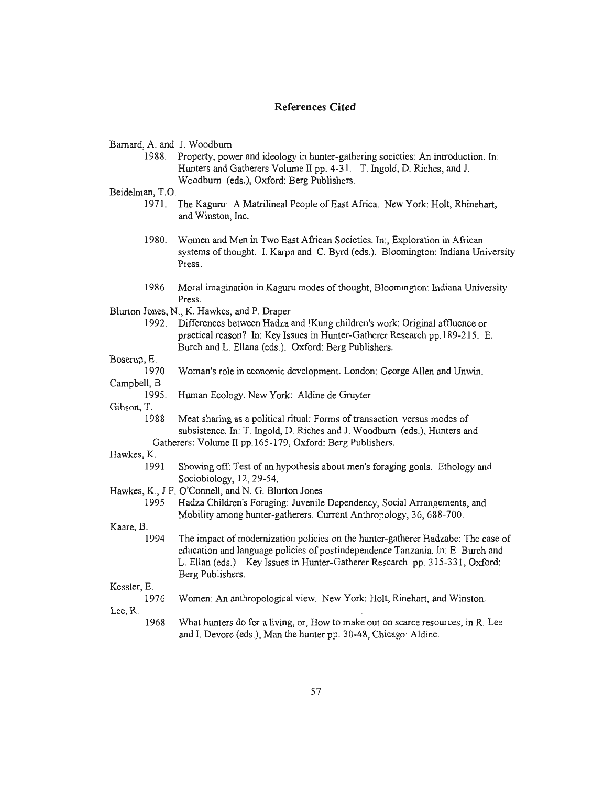## **References Cited**

Barnard, A. and 1. Woodburn

1988. Property, power and ideology in hunter-gathering societies: An introduction. In: Hunters and Gatherers Volume II pp. 4-31. T. Ingold, D. Riches, and 1. Woodburn (eds.), Oxford: Berg Publishers.

Beidelman, T.O.

- 1971. The Kaguru: A Matrilineal People of East Africa. New York: Holt, Rhinehart, and Winston, Inc.
- 1980. Women and Men in Two East African Societies. In:, Exploration in African systems of thought. 1. Karpa and C. Byrd (eds.). Bloomington: Indiana University Press.
- 1986 Moral imagination in Kaguru modes of thought, Bloomington: Indiana University Press.

Blurton Jones, N., K. Hawkes, and P. Draper

1992. Differences between Hadza and !Kung children's work: Original affiuence or practical reason? In: Key Issues in Hunter-Gatherer Research pp.189-215. E. Burch and L. Ellana (eds.). Oxford: Berg Publishers.

Boserup, E.

Woman's role in economic development. London: George Allen and Unwin. 1970

Campbell, B.

Human Ecology. New York: Aldine de Gruyter. 1995.

Gibson, T.

Meat sharing as a political ritual: Forms of transaction versus modes of subsistence. In: T. Ingold, D. Riches and J. Woodburn (eds.), Hunters and Gatherers: Volume II pp.165-179, Oxford: Berg Publishers. 1988

Hawkes, K

- 1991 Showing off: Test of an hypothesis about men's foraging goals. Ethology and Sociobiology, 12,29-54.
- Hawkes, K., J.F. O'Connell, and N. G. Blurton Jones
	- 1995 Hadza Children's Foraging: Juvenile Dependency, Social Arrangements, and Mobility among hunter-gatherers. Current Anthropology, 36, 688-700.

Kaare, B.

1994 The impact of modernization policies on the hunter-gatherer Hadzabe: The case of education and language policies of postindependence Tanzania. In: E. Burch and L. Ellan (eds.). Key Issues in Hunter-Gatherer Research pp. 315-331, Oxford: Berg Publishers.

Kessler, E.

1976 Women: An anthropological view. New York: Holt, Rinehart, and Winston.

Lee, R.

1968 What hunters do for a living, or, How to make out on scarce resources, in R. Lee and 1. Devore (eds.), Man the hunter pp. 30-48, Chicago: Aldine.